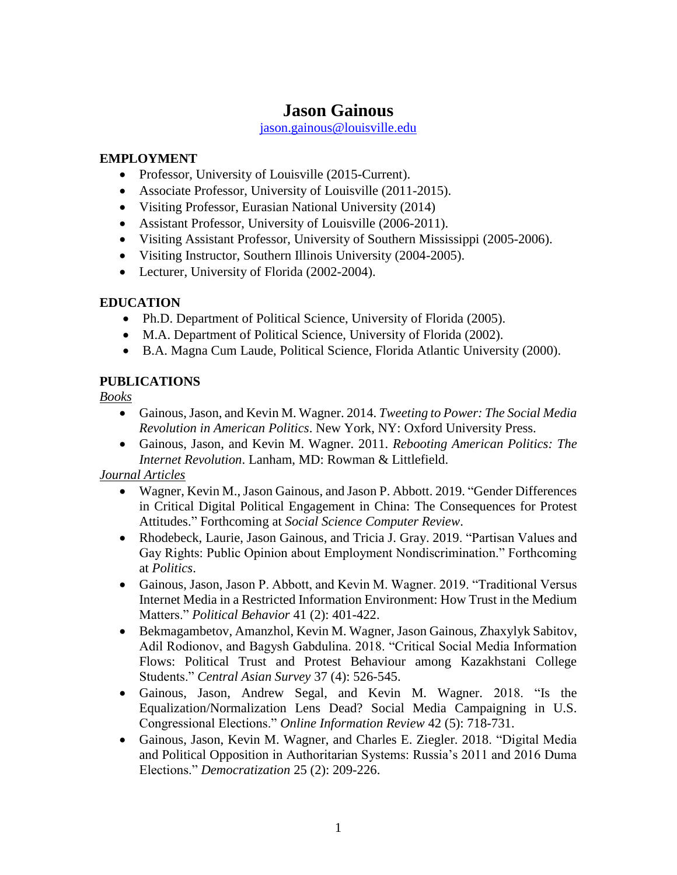# **Jason Gainous**

[jason.gainous@louisville.edu](mailto:jason.gainous@louisville.edu)

#### **EMPLOYMENT**

- Professor, University of Louisville (2015-Current).
- Associate Professor, University of Louisville (2011-2015).
- Visiting Professor, Eurasian National University (2014)
- Assistant Professor, University of Louisville (2006-2011).
- Visiting Assistant Professor, University of Southern Mississippi (2005-2006).
- Visiting Instructor, Southern Illinois University (2004-2005).
- Lecturer, University of Florida (2002-2004).

#### **EDUCATION**

- Ph.D. Department of Political Science, University of Florida (2005).
- M.A. Department of Political Science, University of Florida (2002).
- B.A. Magna Cum Laude, Political Science, Florida Atlantic University (2000).

#### **PUBLICATIONS**

*Books*

- Gainous, Jason, and Kevin M. Wagner. 2014. *Tweeting to Power: The Social Media Revolution in American Politics*. New York, NY: Oxford University Press.
- Gainous, Jason, and Kevin M. Wagner. 2011. *Rebooting American Politics: The Internet Revolution*. Lanham, MD: Rowman & Littlefield.

*Journal Articles*

- Wagner, Kevin M., Jason Gainous, and Jason P. Abbott. 2019. "Gender Differences in Critical Digital Political Engagement in China: The Consequences for Protest Attitudes." Forthcoming at *Social Science Computer Review*.
- Rhodebeck, Laurie, Jason Gainous, and Tricia J. Gray. 2019. "Partisan Values and Gay Rights: Public Opinion about Employment Nondiscrimination." Forthcoming at *Politics*.
- Gainous, Jason, Jason P. Abbott, and Kevin M. Wagner. 2019. "Traditional Versus Internet Media in a Restricted Information Environment: How Trust in the Medium Matters." *Political Behavior* 41 (2): 401-422.
- Bekmagambetov, Amanzhol, Kevin M. Wagner, Jason Gainous, Zhaxylyk Sabitov, Adil Rodionov, and Bagysh Gabdulina. 2018. "Critical Social Media Information Flows: Political Trust and Protest Behaviour among Kazakhstani College Students." *Central Asian Survey* 37 (4): 526-545.
- Gainous, Jason, Andrew Segal, and Kevin M. Wagner. 2018. "Is the Equalization/Normalization Lens Dead? Social Media Campaigning in U.S. Congressional Elections." *Online Information Review* 42 (5): 718-731.
- Gainous, Jason, Kevin M. Wagner, and Charles E. Ziegler. 2018. "Digital Media and Political Opposition in Authoritarian Systems: Russia's 2011 and 2016 Duma Elections." *Democratization* 25 (2): 209-226.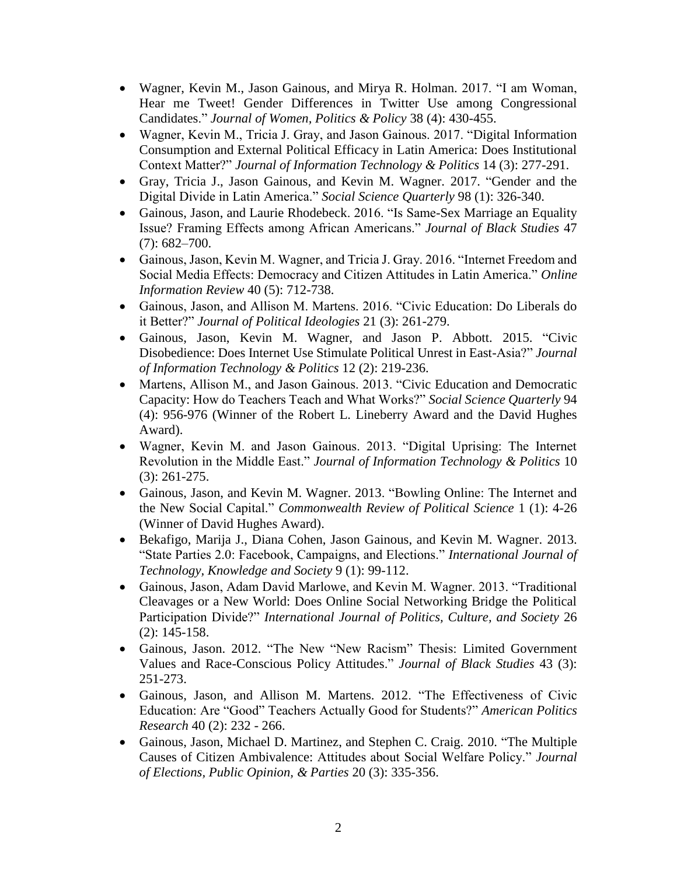- Wagner, Kevin M., Jason Gainous, and Mirya R. Holman. 2017. "I am Woman, Hear me Tweet! Gender Differences in Twitter Use among Congressional Candidates." *Journal of Women, Politics & Policy* 38 (4): 430-455.
- Wagner, Kevin M., Tricia J. Gray, and Jason Gainous. 2017. "Digital Information Consumption and External Political Efficacy in Latin America: Does Institutional Context Matter?" *Journal of Information Technology & Politics* 14 (3): 277-291.
- Gray, Tricia J., Jason Gainous, and Kevin M. Wagner. 2017. "Gender and the Digital Divide in Latin America." *Social Science Quarterly* 98 (1): 326-340.
- Gainous, Jason, and Laurie Rhodebeck. 2016. "Is Same-Sex Marriage an Equality Issue? Framing Effects among African Americans." *Journal of Black Studies* 47 (7): 682–700.
- Gainous, Jason, Kevin M. Wagner, and Tricia J. Gray. 2016. "Internet Freedom and Social Media Effects: Democracy and Citizen Attitudes in Latin America." *Online Information Review* 40 (5): 712-738.
- Gainous, Jason, and Allison M. Martens. 2016. "Civic Education: Do Liberals do it Better?" *Journal of Political Ideologies* 21 (3): 261-279.
- Gainous, Jason, Kevin M. Wagner, and Jason P. Abbott. 2015. "Civic Disobedience: Does Internet Use Stimulate Political Unrest in East-Asia?" *Journal of Information Technology & Politics* 12 (2): 219-236.
- Martens, Allison M., and Jason Gainous. 2013. "Civic Education and Democratic Capacity: How do Teachers Teach and What Works?" *Social Science Quarterly* 94 (4): 956-976 (Winner of the Robert L. Lineberry Award and the David Hughes Award).
- Wagner, Kevin M. and Jason Gainous. 2013. "Digital Uprising: The Internet Revolution in the Middle East." *Journal of Information Technology & Politics* 10 (3): 261-275.
- Gainous, Jason, and Kevin M. Wagner. 2013. "Bowling Online: The Internet and the New Social Capital." *Commonwealth Review of Political Science* 1 (1): 4-26 (Winner of David Hughes Award).
- Bekafigo, Marija J., Diana Cohen, Jason Gainous, and Kevin M. Wagner. 2013. "State Parties 2.0: Facebook, Campaigns, and Elections." *International Journal of Technology, Knowledge and Society* 9 (1): 99-112.
- Gainous, Jason, Adam David Marlowe, and Kevin M. Wagner. 2013. "Traditional Cleavages or a New World: Does Online Social Networking Bridge the Political Participation Divide?" *International Journal of Politics, Culture, and Society* 26 (2): 145-158.
- Gainous, Jason. 2012. "The New "New Racism" Thesis: Limited Government Values and Race-Conscious Policy Attitudes." *Journal of Black Studies* 43 (3): 251-273.
- Gainous, Jason, and Allison M. Martens. 2012. "The Effectiveness of Civic Education: Are "Good" Teachers Actually Good for Students?" *American Politics Research* 40 (2): 232 - 266.
- Gainous, Jason, Michael D. Martinez, and Stephen C. Craig. 2010. "The Multiple Causes of Citizen Ambivalence: Attitudes about Social Welfare Policy." *Journal of Elections, Public Opinion, & Parties* 20 (3): 335-356.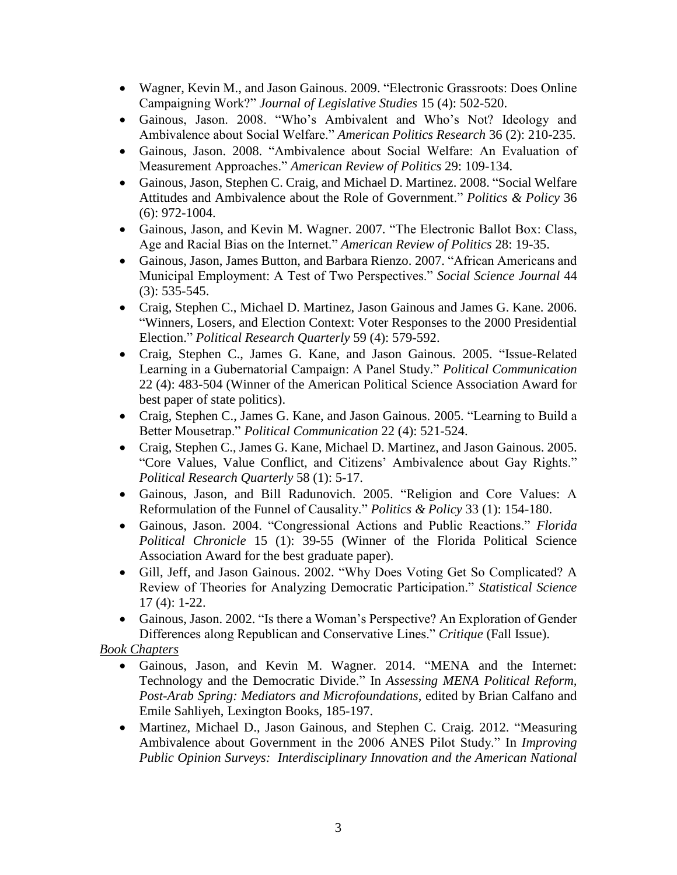- Wagner, Kevin M., and Jason Gainous. 2009. "Electronic Grassroots: Does Online Campaigning Work?" *Journal of Legislative Studies* 15 (4): 502-520.
- Gainous, Jason. 2008. "Who's Ambivalent and Who's Not? Ideology and Ambivalence about Social Welfare." *American Politics Research* 36 (2): 210-235.
- Gainous, Jason. 2008. "Ambivalence about Social Welfare: An Evaluation of Measurement Approaches." *American Review of Politics* 29: 109-134.
- Gainous, Jason, Stephen C. Craig, and Michael D. Martinez. 2008. "Social Welfare Attitudes and Ambivalence about the Role of Government." *Politics & Policy* 36 (6): 972-1004.
- Gainous, Jason, and Kevin M. Wagner. 2007. "The Electronic Ballot Box: Class, Age and Racial Bias on the Internet." *American Review of Politics* 28: 19-35.
- Gainous, Jason, James Button, and Barbara Rienzo. 2007. "African Americans and Municipal Employment: A Test of Two Perspectives." *Social Science Journal* 44 (3): 535-545.
- Craig, Stephen C., Michael D. Martinez, Jason Gainous and James G. Kane. 2006. "Winners, Losers, and Election Context: Voter Responses to the 2000 Presidential Election." *Political Research Quarterly* 59 (4): 579-592.
- Craig, Stephen C., James G. Kane, and Jason Gainous. 2005. "Issue-Related Learning in a Gubernatorial Campaign: A Panel Study." *Political Communication* 22 (4): 483-504 (Winner of the American Political Science Association Award for best paper of state politics).
- Craig, Stephen C., James G. Kane, and Jason Gainous. 2005. "Learning to Build a Better Mousetrap." *Political Communication* 22 (4): 521-524.
- Craig, Stephen C., James G. Kane, Michael D. Martinez, and Jason Gainous. 2005. "Core Values, Value Conflict, and Citizens' Ambivalence about Gay Rights." *Political Research Quarterly* 58 (1): 5-17.
- Gainous, Jason, and Bill Radunovich. 2005. "Religion and Core Values: A Reformulation of the Funnel of Causality." *Politics & Policy* 33 (1): 154-180.
- Gainous, Jason. 2004. "Congressional Actions and Public Reactions." *Florida Political Chronicle* 15 (1): 39-55 (Winner of the Florida Political Science Association Award for the best graduate paper).
- Gill, Jeff, and Jason Gainous. 2002. "Why Does Voting Get So Complicated? A Review of Theories for Analyzing Democratic Participation." *Statistical Science* 17 (4): 1-22.
- Gainous, Jason. 2002. "Is there a Woman's Perspective? An Exploration of Gender Differences along Republican and Conservative Lines." *Critique* (Fall Issue).

*Book Chapters*

- Gainous, Jason, and Kevin M. Wagner. 2014. "MENA and the Internet: Technology and the Democratic Divide." In *Assessing MENA Political Reform, Post-Arab Spring: Mediators and Microfoundations*, edited by Brian Calfano and Emile Sahliyeh, Lexington Books, 185-197.
- Martinez, Michael D., Jason Gainous, and Stephen C. Craig. 2012. "Measuring Ambivalence about Government in the 2006 ANES Pilot Study." In *Improving Public Opinion Surveys: Interdisciplinary Innovation and the American National*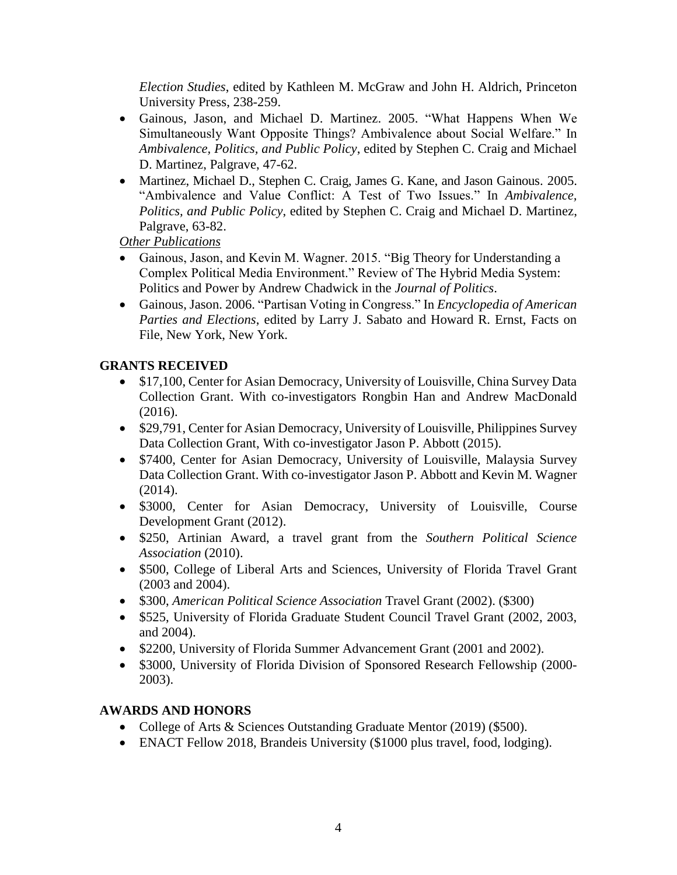*Election Studies*, edited by Kathleen M. McGraw and John H. Aldrich, Princeton University Press, 238-259.

- Gainous, Jason, and Michael D. Martinez. 2005. "What Happens When We Simultaneously Want Opposite Things? Ambivalence about Social Welfare." In *Ambivalence, Politics, and Public Policy*, edited by Stephen C. Craig and Michael D. Martinez, Palgrave, 47-62.
- Martinez, Michael D., Stephen C. Craig, James G. Kane, and Jason Gainous. 2005. "Ambivalence and Value Conflict: A Test of Two Issues." In *Ambivalence, Politics, and Public Policy*, edited by Stephen C. Craig and Michael D. Martinez, Palgrave, 63-82.

*Other Publications*

- Gainous, Jason, and Kevin M. Wagner. 2015. "Big Theory for Understanding a Complex Political Media Environment." Review of The Hybrid Media System: Politics and Power by Andrew Chadwick in the *Journal of Politics*.
- Gainous, Jason. 2006. "Partisan Voting in Congress." In *Encyclopedia of American Parties and Elections*, edited by Larry J. Sabato and Howard R. Ernst, Facts on File, New York, New York.

## **GRANTS RECEIVED**

- \$17,100, Center for Asian Democracy, University of Louisville, China Survey Data Collection Grant. With co-investigators Rongbin Han and Andrew MacDonald (2016).
- \$29,791, Center for Asian Democracy, University of Louisville, Philippines Survey Data Collection Grant, With co-investigator Jason P. Abbott (2015).
- \$7400, Center for Asian Democracy, University of Louisville, Malaysia Survey Data Collection Grant. With co-investigator Jason P. Abbott and Kevin M. Wagner (2014).
- \$3000, Center for Asian Democracy, University of Louisville, Course Development Grant (2012).
- \$250, Artinian Award, a travel grant from the *Southern Political Science Association* (2010).
- \$500, College of Liberal Arts and Sciences, University of Florida Travel Grant (2003 and 2004).
- \$300, *American Political Science Association* Travel Grant (2002). (\$300)
- \$525, University of Florida Graduate Student Council Travel Grant (2002, 2003, and 2004).
- \$2200, University of Florida Summer Advancement Grant (2001 and 2002).
- \$3000, University of Florida Division of Sponsored Research Fellowship (2000-2003).

## **AWARDS AND HONORS**

- College of Arts & Sciences Outstanding Graduate Mentor (2019) (\$500).
- ENACT Fellow 2018, Brandeis University (\$1000 plus travel, food, lodging).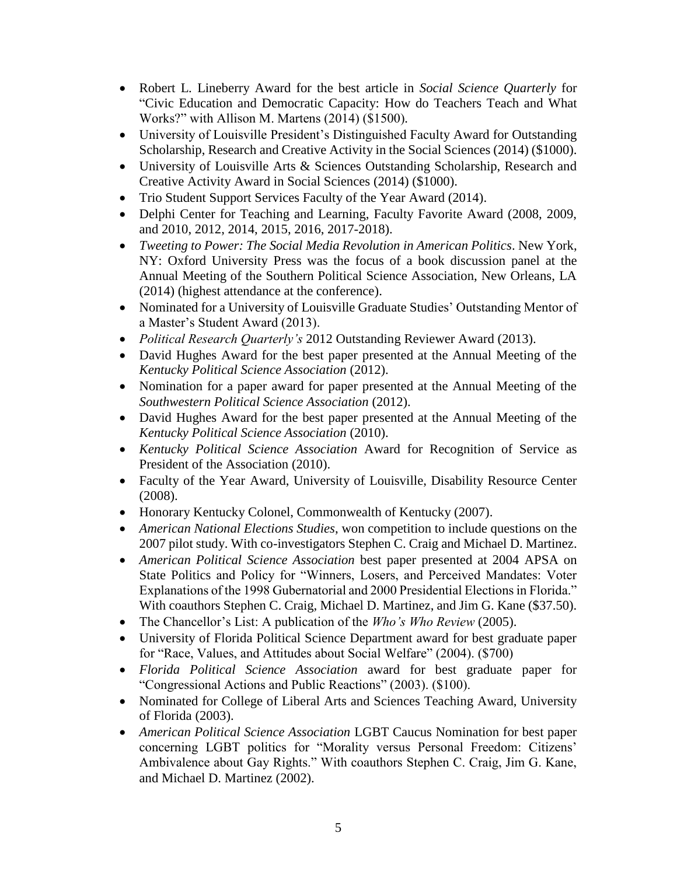- Robert L. Lineberry Award for the best article in *Social Science Quarterly* for "Civic Education and Democratic Capacity: How do Teachers Teach and What Works?" with Allison M. Martens (2014) (\$1500)*.*
- University of Louisville President's Distinguished Faculty Award for Outstanding Scholarship, Research and Creative Activity in the Social Sciences (2014) (\$1000).
- University of Louisville Arts & Sciences Outstanding Scholarship, Research and Creative Activity Award in Social Sciences (2014) (\$1000).
- Trio Student Support Services Faculty of the Year Award (2014).
- Delphi Center for Teaching and Learning, Faculty Favorite Award (2008, 2009, and 2010, 2012, 2014, 2015, 2016, 2017-2018).
- *Tweeting to Power: The Social Media Revolution in American Politics*. New York, NY: Oxford University Press was the focus of a book discussion panel at the Annual Meeting of the Southern Political Science Association, New Orleans, LA (2014) (highest attendance at the conference).
- Nominated for a University of Louisville Graduate Studies' Outstanding Mentor of a Master's Student Award (2013).
- *Political Research Quarterly's* 2012 Outstanding Reviewer Award (2013).
- David Hughes Award for the best paper presented at the Annual Meeting of the *Kentucky Political Science Association* (2012).
- Nomination for a paper award for paper presented at the Annual Meeting of the *Southwestern Political Science Association* (2012).
- David Hughes Award for the best paper presented at the Annual Meeting of the *Kentucky Political Science Association* (2010).
- *Kentucky Political Science Association* Award for Recognition of Service as President of the Association (2010).
- Faculty of the Year Award, University of Louisville, Disability Resource Center (2008).
- Honorary Kentucky Colonel, Commonwealth of Kentucky (2007).
- *American National Elections Studies*, won competition to include questions on the 2007 pilot study. With co-investigators Stephen C. Craig and Michael D. Martinez.
- *American Political Science Association* best paper presented at 2004 APSA on State Politics and Policy for "Winners, Losers, and Perceived Mandates: Voter Explanations of the 1998 Gubernatorial and 2000 Presidential Elections in Florida." With coauthors Stephen C. Craig, Michael D. Martinez, and Jim G. Kane (\$37.50).
- The Chancellor's List: A publication of the *Who's Who Review* (2005).
- University of Florida Political Science Department award for best graduate paper for "Race, Values, and Attitudes about Social Welfare" (2004). (\$700)
- *Florida Political Science Association* award for best graduate paper for "Congressional Actions and Public Reactions" (2003). (\$100).
- Nominated for College of Liberal Arts and Sciences Teaching Award, University of Florida (2003).
- *American Political Science Association* LGBT Caucus Nomination for best paper concerning LGBT politics for "Morality versus Personal Freedom: Citizens' Ambivalence about Gay Rights." With coauthors Stephen C. Craig, Jim G. Kane, and Michael D. Martinez (2002).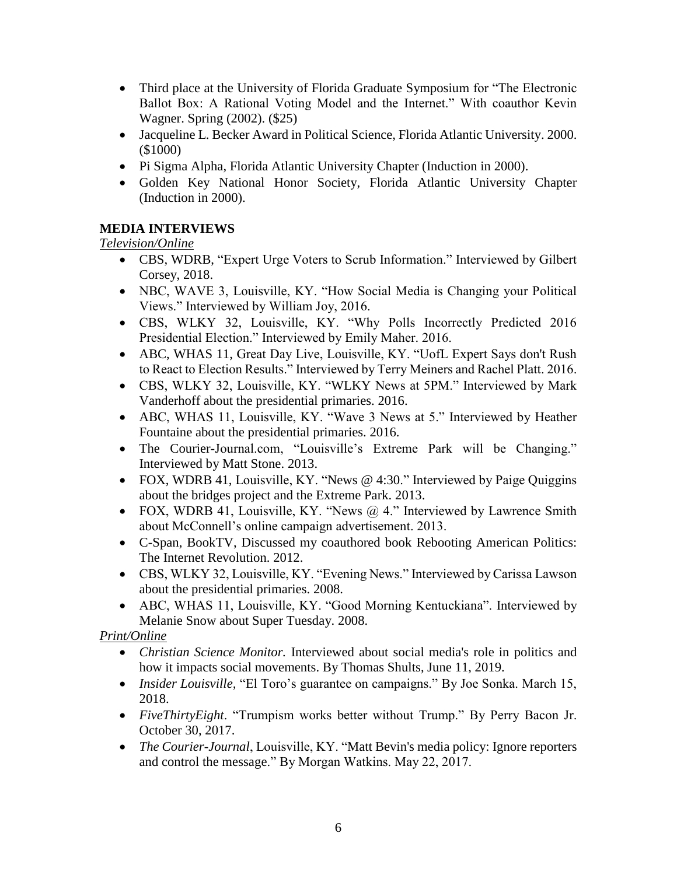- Third place at the University of Florida Graduate Symposium for "The Electronic Ballot Box: A Rational Voting Model and the Internet." With coauthor Kevin Wagner. Spring (2002). (\$25)
- Jacqueline L. Becker Award in Political Science, Florida Atlantic University. 2000. (\$1000)
- Pi Sigma Alpha, Florida Atlantic University Chapter (Induction in 2000).
- Golden Key National Honor Society, Florida Atlantic University Chapter (Induction in 2000).

## **MEDIA INTERVIEWS**

*Television/Online*

- CBS, WDRB, "Expert Urge Voters to Scrub Information." Interviewed by Gilbert Corsey, 2018.
- NBC, WAVE 3, Louisville, KY. "How Social Media is Changing your Political Views." Interviewed by William Joy, 2016.
- CBS, WLKY 32, Louisville, KY. "Why Polls Incorrectly Predicted 2016 Presidential Election." Interviewed by Emily Maher. 2016.
- ABC, WHAS 11, Great Day Live, Louisville, KY. "UofL Expert Says don't Rush to React to Election Results." Interviewed by Terry Meiners and Rachel Platt. 2016.
- CBS, WLKY 32, Louisville, KY. "WLKY News at 5PM." Interviewed by Mark Vanderhoff about the presidential primaries. 2016.
- ABC, WHAS 11, Louisville, KY. "Wave 3 News at 5." Interviewed by Heather Fountaine about the presidential primaries. 2016.
- The Courier-Journal.com, "Louisville's Extreme Park will be Changing." Interviewed by Matt Stone. 2013.
- FOX, WDRB 41, Louisville, KY. "News @ 4:30." Interviewed by Paige Quiggins about the bridges project and the Extreme Park. 2013.
- FOX, WDRB 41, Louisville, KY. "News  $@$  4." Interviewed by Lawrence Smith about McConnell's online campaign advertisement. 2013.
- C-Span, BookTV, Discussed my coauthored book Rebooting American Politics: The Internet Revolution. 2012.
- CBS, WLKY 32, Louisville, KY. "Evening News." Interviewed by Carissa Lawson about the presidential primaries. 2008.
- ABC, WHAS 11, Louisville, KY. "Good Morning Kentuckiana". Interviewed by Melanie Snow about Super Tuesday. 2008.

*Print/Online*

- *Christian Science Monitor.* Interviewed about social media's role in politics and how it impacts social movements. By Thomas Shults, June 11, 2019.
- *Insider Louisville,* "El Toro's guarantee on campaigns." By Joe Sonka. March 15, 2018.
- *FiveThirtyEight*. "Trumpism works better without Trump." By Perry Bacon Jr. October 30, 2017.
- *The Courier-Journal*, Louisville, KY. "Matt Bevin's media policy: Ignore reporters and control the message." By Morgan Watkins. May 22, 2017.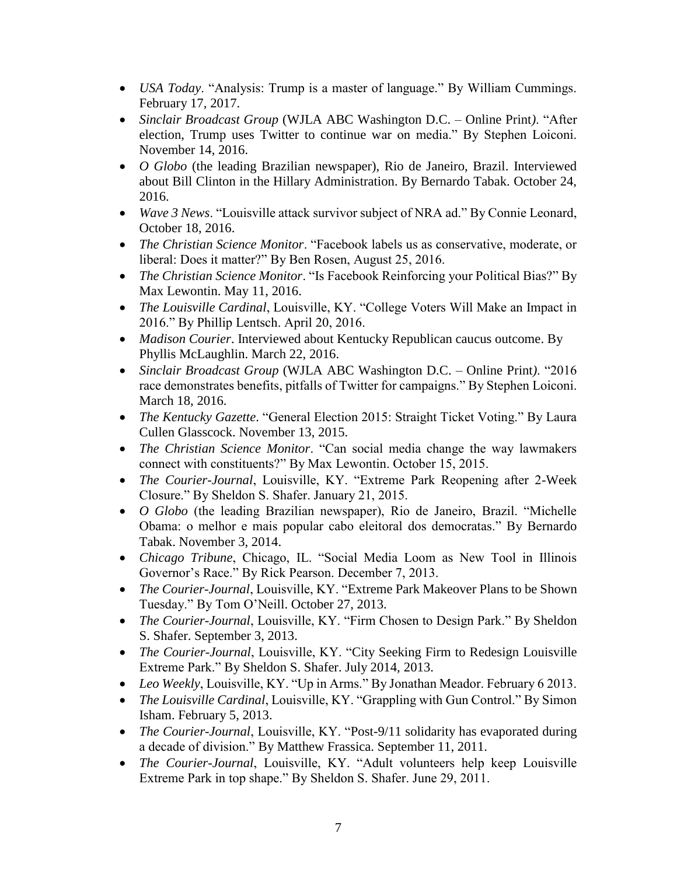- *USA Today*. "Analysis: Trump is a master of language." By William Cummings. February 17, 2017.
- *Sinclair Broadcast Group* (WJLA ABC Washington D.C. Online Print*)*. "After election, Trump uses Twitter to continue war on media." By Stephen Loiconi. November 14, 2016.
- *O Globo* (the leading Brazilian newspaper), Rio de Janeiro, Brazil. Interviewed about Bill Clinton in the Hillary Administration. By Bernardo Tabak. October 24, 2016.
- *Wave 3 News*. "Louisville attack survivor subject of NRA ad." By Connie Leonard, October 18, 2016.
- *The Christian Science Monitor*. "Facebook labels us as conservative, moderate, or liberal: Does it matter?" By Ben Rosen, August 25, 2016.
- *The Christian Science Monitor*. "Is Facebook Reinforcing your Political Bias?" By Max Lewontin. May 11, 2016.
- *The Louisville Cardinal*, Louisville, KY. "College Voters Will Make an Impact in 2016." By Phillip Lentsch. April 20, 2016.
- *Madison Courier*. Interviewed about Kentucky Republican caucus outcome. By Phyllis McLaughlin. March 22, 2016.
- *Sinclair Broadcast Group* (WJLA ABC Washington D.C. Online Print*)*. "2016 race demonstrates benefits, pitfalls of Twitter for campaigns." By Stephen Loiconi. March 18, 2016.
- *The Kentucky Gazette*. "General Election 2015: Straight Ticket Voting." By Laura Cullen Glasscock. November 13, 2015.
- *The Christian Science Monitor*. "Can social media change the way lawmakers connect with constituents?" By Max Lewontin. October 15, 2015.
- *The Courier-Journal*, Louisville, KY. "Extreme Park Reopening after 2-Week Closure." By Sheldon S. Shafer. January 21, 2015.
- *O Globo* (the leading Brazilian newspaper), Rio de Janeiro, Brazil. "Michelle Obama: o melhor e mais popular cabo eleitoral dos democratas." By Bernardo Tabak. November 3, 2014.
- *Chicago Tribune*, Chicago, IL. "Social Media Loom as New Tool in Illinois Governor's Race." By Rick Pearson. December 7, 2013.
- *The Courier-Journal*, Louisville, KY. "Extreme Park Makeover Plans to be Shown Tuesday." By Tom O'Neill. October 27, 2013.
- *The Courier-Journal*, Louisville, KY. "Firm Chosen to Design Park." By Sheldon S. Shafer. September 3, 2013.
- *The Courier-Journal*, Louisville, KY. "City Seeking Firm to Redesign Louisville Extreme Park." By Sheldon S. Shafer. July 2014, 2013.
- *Leo Weekly*, Louisville, KY. "Up in Arms." By Jonathan Meador. February 6 2013.
- *The Louisville Cardinal*, Louisville, KY. "Grappling with Gun Control." By Simon Isham. February 5, 2013.
- *The Courier-Journal*, Louisville, KY. "Post-9/11 solidarity has evaporated during a decade of division." By Matthew Frassica. September 11, 2011.
- *The Courier-Journal*, Louisville, KY. "Adult volunteers help keep Louisville Extreme Park in top shape." By Sheldon S. Shafer. June 29, 2011.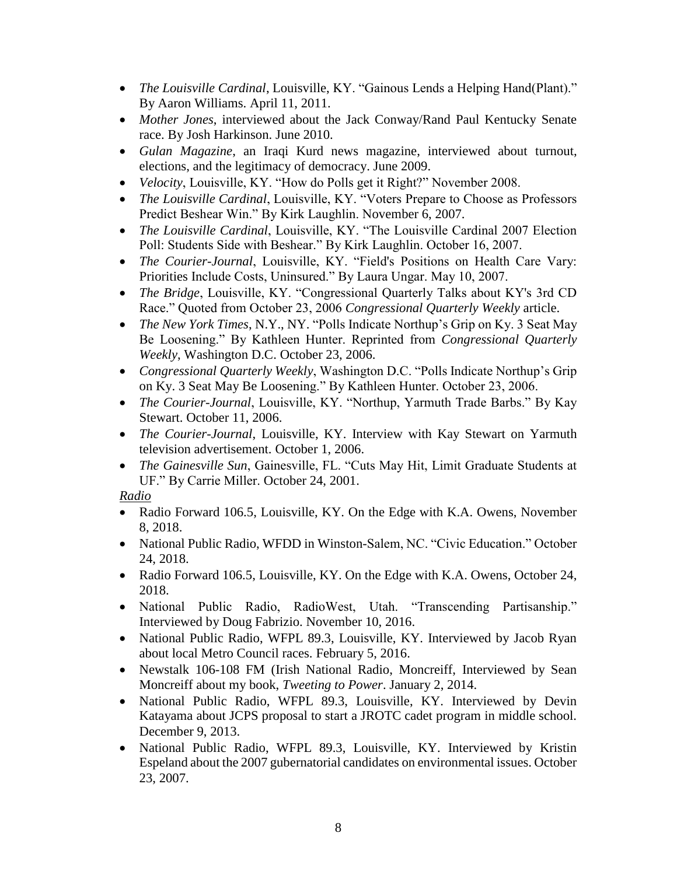- *The Louisville Cardinal*, Louisville, KY. "Gainous Lends a Helping Hand(Plant)." By Aaron Williams. April 11, 2011.
- *Mother Jones*, interviewed about the Jack Conway/Rand Paul Kentucky Senate race. By Josh Harkinson. June 2010.
- *Gulan Magazine*, an Iraqi Kurd news magazine, interviewed about turnout, elections, and the legitimacy of democracy. June 2009.
- *Velocity*, Louisville, KY. "How do Polls get it Right?" November 2008.
- *The Louisville Cardinal*, Louisville, KY. "Voters Prepare to Choose as Professors Predict Beshear Win." By Kirk Laughlin. November 6, 2007.
- *The Louisville Cardinal*, Louisville, KY. "The Louisville Cardinal 2007 Election Poll: Students Side with Beshear." By Kirk Laughlin. October 16, 2007.
- *The Courier-Journal*, Louisville, KY. "Field's Positions on Health Care Vary: Priorities Include Costs, Uninsured." By Laura Ungar. May 10, 2007.
- *The Bridge*, Louisville, KY. "Congressional Quarterly Talks about KY's 3rd CD Race." Quoted from October 23, 2006 *Congressional Quarterly Weekly* article.
- *The New York Times*, N.Y., NY. "Polls Indicate Northup's Grip on Ky. 3 Seat May Be Loosening." By Kathleen Hunter. Reprinted from *Congressional Quarterly Weekly*, Washington D.C. October 23, 2006.
- *Congressional Quarterly Weekly*, Washington D.C. "Polls Indicate Northup's Grip on Ky. 3 Seat May Be Loosening." By Kathleen Hunter. October 23, 2006.
- *The Courier-Journal*, Louisville, KY. "Northup, Yarmuth Trade Barbs." By Kay Stewart. October 11, 2006.
- *The Courier-Journal*, Louisville, KY. Interview with Kay Stewart on Yarmuth television advertisement. October 1, 2006.
- *The Gainesville Sun*, Gainesville, FL. "Cuts May Hit, Limit Graduate Students at UF." By Carrie Miller. October 24, 2001.

*Radio*

- Radio Forward 106.5, Louisville, KY. On the Edge with K.A. Owens, November 8, 2018.
- National Public Radio, WFDD in Winston-Salem, NC. "Civic Education." October 24, 2018.
- Radio Forward 106.5, Louisville, KY. On the Edge with K.A. Owens, October 24, 2018.
- National Public Radio, RadioWest, Utah. "Transcending Partisanship." Interviewed by Doug Fabrizio. November 10, 2016.
- National Public Radio, WFPL 89.3, Louisville, KY. Interviewed by Jacob Ryan about local Metro Council races. February 5, 2016.
- Newstalk 106-108 FM (Irish National Radio, Moncreiff, Interviewed by Sean Moncreiff about my book, *Tweeting to Power*. January 2, 2014.
- National Public Radio, WFPL 89.3, Louisville, KY. Interviewed by Devin Katayama about JCPS proposal to start a JROTC cadet program in middle school. December 9, 2013.
- National Public Radio, WFPL 89.3, Louisville, KY. Interviewed by Kristin Espeland about the 2007 gubernatorial candidates on environmental issues. October 23, 2007.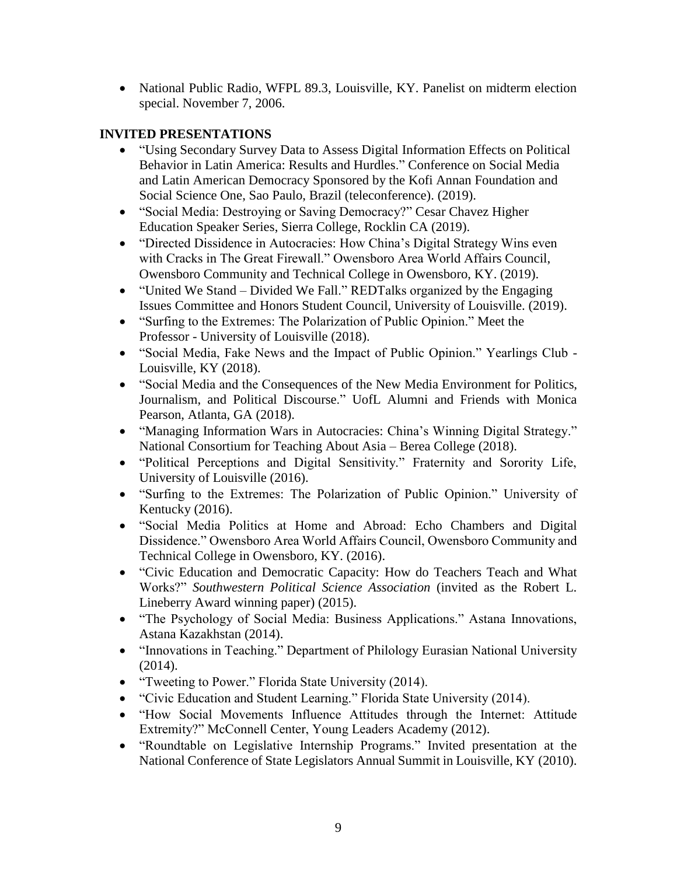• National Public Radio, WFPL 89.3, Louisville, KY. Panelist on midterm election special. November 7, 2006.

### **INVITED PRESENTATIONS**

- "Using Secondary Survey Data to Assess Digital Information Effects on Political Behavior in Latin America: Results and Hurdles." Conference on Social Media and Latin American Democracy Sponsored by the Kofi Annan Foundation and Social Science One, Sao Paulo, Brazil (teleconference). (2019).
- "Social Media: Destroying or Saving Democracy?" Cesar Chavez Higher Education Speaker Series, Sierra College, Rocklin CA (2019).
- "Directed Dissidence in Autocracies: How China's Digital Strategy Wins even with Cracks in The Great Firewall." Owensboro Area World Affairs Council, Owensboro Community and Technical College in Owensboro, KY. (2019).
- "United We Stand Divided We Fall." REDTalks organized by the Engaging Issues Committee and Honors Student Council, University of Louisville. (2019).
- "Surfing to the Extremes: The Polarization of Public Opinion." Meet the Professor - University of Louisville (2018).
- "Social Media, Fake News and the Impact of Public Opinion." Yearlings Club Louisville, KY (2018).
- "Social Media and the Consequences of the New Media Environment for Politics, Journalism, and Political Discourse." UofL Alumni and Friends with Monica Pearson, Atlanta, GA (2018).
- "Managing Information Wars in Autocracies: China's Winning Digital Strategy." National Consortium for Teaching About Asia – Berea College (2018).
- "Political Perceptions and Digital Sensitivity." Fraternity and Sorority Life, University of Louisville (2016).
- "Surfing to the Extremes: The Polarization of Public Opinion." University of Kentucky (2016).
- "Social Media Politics at Home and Abroad: Echo Chambers and Digital Dissidence." Owensboro Area World Affairs Council, Owensboro Community and Technical College in Owensboro, KY. (2016).
- "Civic Education and Democratic Capacity: How do Teachers Teach and What Works?" *Southwestern Political Science Association* (invited as the Robert L. Lineberry Award winning paper) (2015).
- "The Psychology of Social Media: Business Applications." Astana Innovations, Astana Kazakhstan (2014).
- "Innovations in Teaching." Department of Philology Eurasian National University (2014).
- "Tweeting to Power." Florida State University (2014).
- "Civic Education and Student Learning." Florida State University (2014).
- "How Social Movements Influence Attitudes through the Internet: Attitude Extremity?" McConnell Center, Young Leaders Academy (2012).
- "Roundtable on Legislative Internship Programs." Invited presentation at the National Conference of State Legislators Annual Summit in Louisville, KY (2010).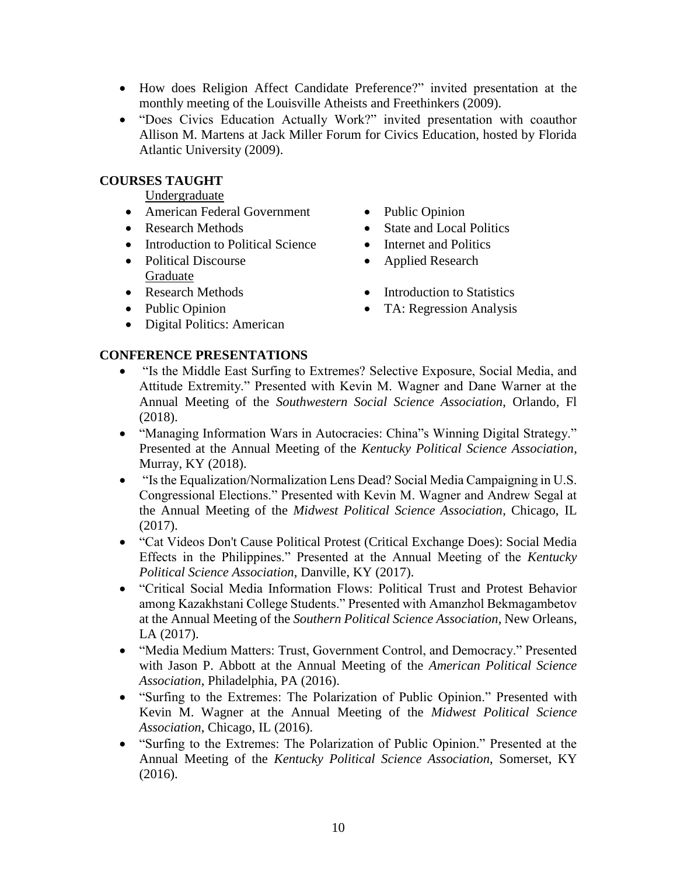- How does Religion Affect Candidate Preference?" invited presentation at the monthly meeting of the Louisville Atheists and Freethinkers (2009).
- "Does Civics Education Actually Work?" invited presentation with coauthor Allison M. Martens at Jack Miller Forum for Civics Education, hosted by Florida Atlantic University (2009).

#### **COURSES TAUGHT**

Undergraduate

- American Federal Government Public Opinion
- 
- Introduction to Political Science Internet and Politics
- Political Discourse Applied Research Graduate
- 
- 
- Digital Politics: American
- 
- Research Methods State and Local Politics
	-
	-
- Research Methods Introduction to Statistics
- Public Opinion TA: Regression Analysis

#### **CONFERENCE PRESENTATIONS**

- "Is the Middle East Surfing to Extremes? Selective Exposure, Social Media, and Attitude Extremity." Presented with Kevin M. Wagner and Dane Warner at the Annual Meeting of the *Southwestern Social Science Association*, Orlando, Fl (2018).
- "Managing Information Wars in Autocracies: China"s Winning Digital Strategy." Presented at the Annual Meeting of the *Kentucky Political Science Association*, Murray, KY (2018).
- "Is the Equalization/Normalization Lens Dead? Social Media Campaigning in U.S. Congressional Elections." Presented with Kevin M. Wagner and Andrew Segal at the Annual Meeting of the *Midwest Political Science Association*, Chicago, IL (2017).
- "Cat Videos Don't Cause Political Protest (Critical Exchange Does): Social Media Effects in the Philippines." Presented at the Annual Meeting of the *Kentucky Political Science Association*, Danville, KY (2017).
- "Critical Social Media Information Flows: Political Trust and Protest Behavior among Kazakhstani College Students." Presented with Amanzhol Bekmagambetov at the Annual Meeting of the *Southern Political Science Association*, New Orleans, LA (2017).
- "Media Medium Matters: Trust, Government Control, and Democracy." Presented with Jason P. Abbott at the Annual Meeting of the *American Political Science Association*, Philadelphia, PA (2016).
- "Surfing to the Extremes: The Polarization of Public Opinion." Presented with Kevin M. Wagner at the Annual Meeting of the *Midwest Political Science Association*, Chicago, IL (2016).
- "Surfing to the Extremes: The Polarization of Public Opinion." Presented at the Annual Meeting of the *Kentucky Political Science Association*, Somerset, KY (2016).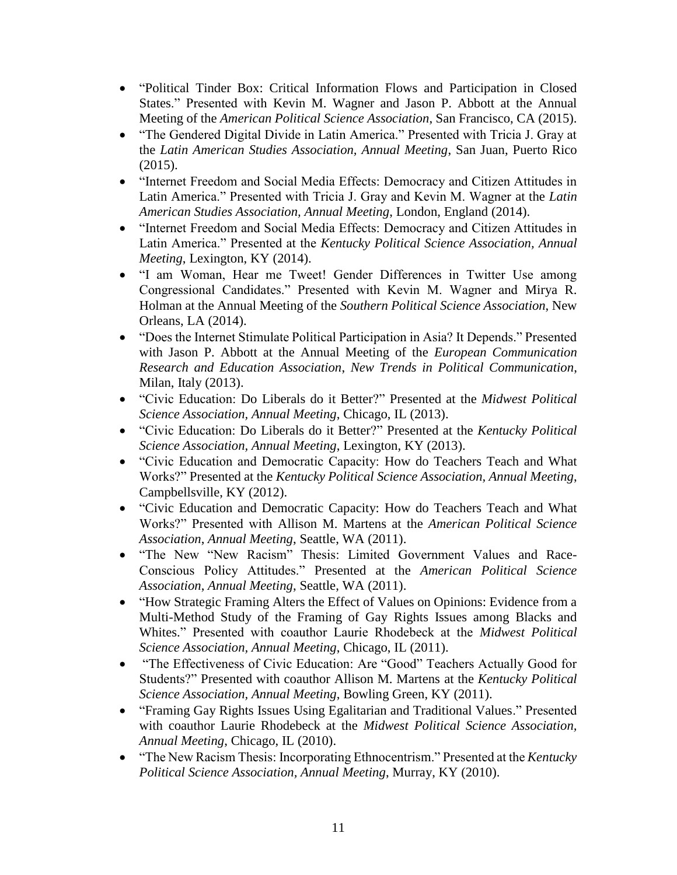- "Political Tinder Box: Critical Information Flows and Participation in Closed States." Presented with Kevin M. Wagner and Jason P. Abbott at the Annual Meeting of the *American Political Science Association*, San Francisco, CA (2015).
- "The Gendered Digital Divide in Latin America." Presented with Tricia J. Gray at the *Latin American Studies Association, Annual Meeting*, San Juan, Puerto Rico (2015).
- "Internet Freedom and Social Media Effects: Democracy and Citizen Attitudes in Latin America." Presented with Tricia J. Gray and Kevin M. Wagner at the *Latin American Studies Association, Annual Meeting*, London, England (2014).
- "Internet Freedom and Social Media Effects: Democracy and Citizen Attitudes in Latin America." Presented at the *Kentucky Political Science Association, Annual Meeting*, Lexington, KY (2014).
- "I am Woman, Hear me Tweet! Gender Differences in Twitter Use among Congressional Candidates." Presented with Kevin M. Wagner and Mirya R. Holman at the Annual Meeting of the *Southern Political Science Association*, New Orleans, LA (2014).
- "Does the Internet Stimulate Political Participation in Asia? It Depends." Presented with Jason P. Abbott at the Annual Meeting of the *European Communication Research and Education Association*, *New Trends in Political Communication*, Milan, Italy (2013).
- "Civic Education: Do Liberals do it Better?" Presented at the *Midwest Political Science Association, Annual Meeting*, Chicago, IL (2013).
- "Civic Education: Do Liberals do it Better?" Presented at the *Kentucky Political Science Association, Annual Meeting*, Lexington, KY (2013).
- "Civic Education and Democratic Capacity: How do Teachers Teach and What Works?" Presented at the *Kentucky Political Science Association, Annual Meeting*, Campbellsville, KY (2012).
- "Civic Education and Democratic Capacity: How do Teachers Teach and What Works?" Presented with Allison M. Martens at the *American Political Science Association*, *Annual Meeting*, Seattle, WA (2011).
- "The New "New Racism" Thesis: Limited Government Values and Race-Conscious Policy Attitudes." Presented at the *American Political Science Association*, *Annual Meeting*, Seattle, WA (2011).
- "How Strategic Framing Alters the Effect of Values on Opinions: Evidence from a Multi-Method Study of the Framing of Gay Rights Issues among Blacks and Whites." Presented with coauthor Laurie Rhodebeck at the *Midwest Political Science Association, Annual Meeting*, Chicago, IL (2011).
- "The Effectiveness of Civic Education: Are "Good" Teachers Actually Good for Students?" Presented with coauthor Allison M. Martens at the *Kentucky Political Science Association, Annual Meeting*, Bowling Green, KY (2011).
- "Framing Gay Rights Issues Using Egalitarian and Traditional Values." Presented with coauthor Laurie Rhodebeck at the *Midwest Political Science Association, Annual Meeting*, Chicago, IL (2010).
- "The New Racism Thesis: Incorporating Ethnocentrism." Presented at the *Kentucky Political Science Association, Annual Meeting*, Murray, KY (2010).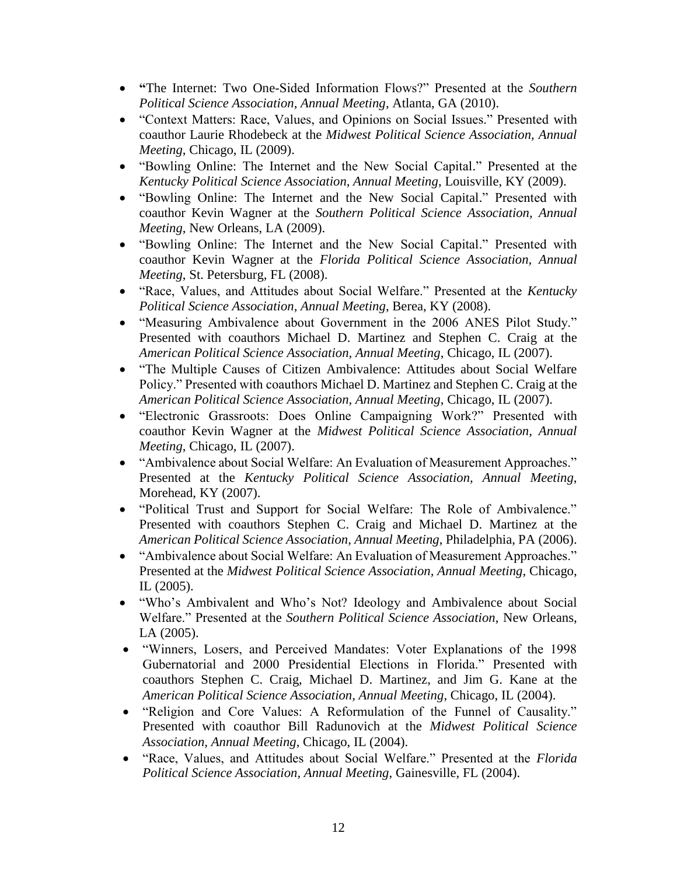- **"**The Internet: Two One-Sided Information Flows?" Presented at the *Southern Political Science Association, Annual Meeting*, Atlanta, GA (2010).
- "Context Matters: Race, Values, and Opinions on Social Issues." Presented with coauthor Laurie Rhodebeck at the *Midwest Political Science Association, Annual Meeting*, Chicago, IL (2009).
- "Bowling Online: The Internet and the New Social Capital." Presented at the *Kentucky Political Science Association, Annual Meeting*, Louisville, KY (2009).
- "Bowling Online: The Internet and the New Social Capital." Presented with coauthor Kevin Wagner at the *Southern Political Science Association, Annual Meeting*, New Orleans, LA (2009).
- "Bowling Online: The Internet and the New Social Capital." Presented with coauthor Kevin Wagner at the *Florida Political Science Association, Annual Meeting*, St. Petersburg, FL (2008).
- "Race, Values, and Attitudes about Social Welfare." Presented at the *Kentucky Political Science Association, Annual Meeting*, Berea, KY (2008).
- "Measuring Ambivalence about Government in the 2006 ANES Pilot Study." Presented with coauthors Michael D. Martinez and Stephen C. Craig at the *American Political Science Association, Annual Meeting*, Chicago, IL (2007).
- "The Multiple Causes of Citizen Ambivalence: Attitudes about Social Welfare Policy." Presented with coauthors Michael D. Martinez and Stephen C. Craig at the *American Political Science Association, Annual Meeting*, Chicago, IL (2007).
- "Electronic Grassroots: Does Online Campaigning Work?" Presented with coauthor Kevin Wagner at the *Midwest Political Science Association, Annual Meeting*, Chicago, IL (2007).
- "Ambivalence about Social Welfare: An Evaluation of Measurement Approaches." Presented at the *Kentucky Political Science Association, Annual Meeting*, Morehead, KY (2007).
- "Political Trust and Support for Social Welfare: The Role of Ambivalence." Presented with coauthors Stephen C. Craig and Michael D. Martinez at the *American Political Science Association, Annual Meeting*, Philadelphia, PA (2006).
- "Ambivalence about Social Welfare: An Evaluation of Measurement Approaches." Presented at the *Midwest Political Science Association, Annual Meeting*, Chicago, IL (2005).
- "Who's Ambivalent and Who's Not? Ideology and Ambivalence about Social Welfare." Presented at the *Southern Political Science Association*, New Orleans, LA (2005).
- "Winners, Losers, and Perceived Mandates: Voter Explanations of the 1998 Gubernatorial and 2000 Presidential Elections in Florida." Presented with coauthors Stephen C. Craig, Michael D. Martinez, and Jim G. Kane at the *American Political Science Association, Annual Meeting*, Chicago, IL (2004).
- "Religion and Core Values: A Reformulation of the Funnel of Causality." Presented with coauthor Bill Radunovich at the *Midwest Political Science Association, Annual Meeting*, Chicago, IL (2004).
- "Race, Values, and Attitudes about Social Welfare." Presented at the *Florida Political Science Association, Annual Meeting*, Gainesville, FL (2004).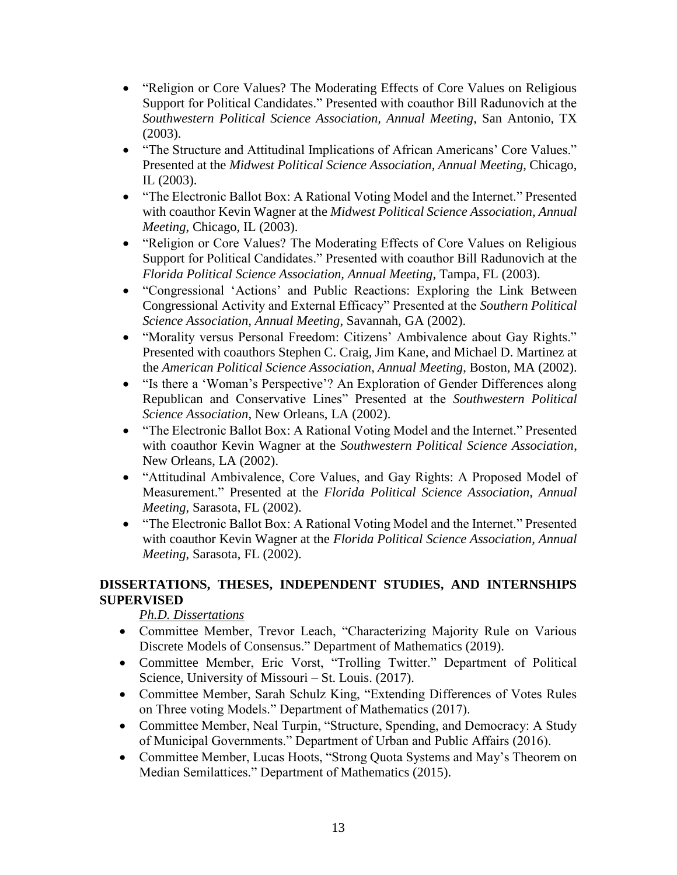- "Religion or Core Values? The Moderating Effects of Core Values on Religious Support for Political Candidates." Presented with coauthor Bill Radunovich at the *Southwestern Political Science Association, Annual Meeting*, San Antonio, TX (2003).
- "The Structure and Attitudinal Implications of African Americans' Core Values." Presented at the *Midwest Political Science Association, Annual Meeting*, Chicago, IL (2003).
- "The Electronic Ballot Box: A Rational Voting Model and the Internet." Presented with coauthor Kevin Wagner at the *Midwest Political Science Association, Annual Meeting*, Chicago, IL (2003).
- "Religion or Core Values? The Moderating Effects of Core Values on Religious Support for Political Candidates." Presented with coauthor Bill Radunovich at the *Florida Political Science Association, Annual Meeting*, Tampa, FL (2003).
- "Congressional 'Actions' and Public Reactions: Exploring the Link Between Congressional Activity and External Efficacy" Presented at the *Southern Political Science Association, Annual Meeting*, Savannah, GA (2002).
- "Morality versus Personal Freedom: Citizens' Ambivalence about Gay Rights." Presented with coauthors Stephen C. Craig, Jim Kane, and Michael D. Martinez at the *American Political Science Association, Annual Meeting*, Boston, MA (2002).
- "Is there a 'Woman's Perspective'? An Exploration of Gender Differences along Republican and Conservative Lines" Presented at the *Southwestern Political Science Association*, New Orleans, LA (2002).
- "The Electronic Ballot Box: A Rational Voting Model and the Internet." Presented with coauthor Kevin Wagner at the *Southwestern Political Science Association*, New Orleans, LA (2002).
- "Attitudinal Ambivalence, Core Values, and Gay Rights: A Proposed Model of Measurement." Presented at the *Florida Political Science Association, Annual Meeting*, Sarasota, FL (2002).
- "The Electronic Ballot Box: A Rational Voting Model and the Internet." Presented with coauthor Kevin Wagner at the *Florida Political Science Association, Annual Meeting*, Sarasota, FL (2002).

#### **DISSERTATIONS, THESES, INDEPENDENT STUDIES, AND INTERNSHIPS SUPERVISED**

## *Ph.D. Dissertations*

- Committee Member, Trevor Leach, "Characterizing Majority Rule on Various Discrete Models of Consensus." Department of Mathematics (2019).
- Committee Member, Eric Vorst, "Trolling Twitter." Department of Political Science, University of Missouri – St. Louis. (2017).
- Committee Member, Sarah Schulz King, "Extending Differences of Votes Rules on Three voting Models." Department of Mathematics (2017).
- Committee Member, Neal Turpin, "Structure, Spending, and Democracy: A Study of Municipal Governments." Department of Urban and Public Affairs (2016).
- Committee Member, Lucas Hoots, "Strong Quota Systems and May's Theorem on Median Semilattices." Department of Mathematics (2015).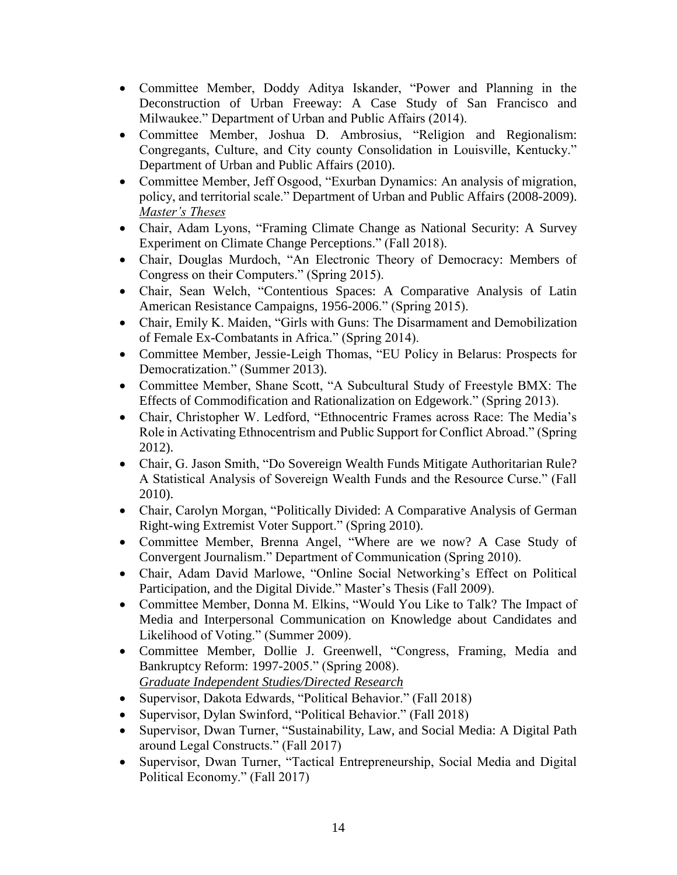- Committee Member, Doddy Aditya Iskander, "Power and Planning in the Deconstruction of Urban Freeway: A Case Study of San Francisco and Milwaukee." Department of Urban and Public Affairs (2014).
- Committee Member, Joshua D. Ambrosius, "Religion and Regionalism: Congregants, Culture, and City county Consolidation in Louisville, Kentucky." Department of Urban and Public Affairs (2010).
- Committee Member, Jeff Osgood, "Exurban Dynamics: An analysis of migration, policy, and territorial scale." Department of Urban and Public Affairs (2008-2009). *Master's Theses*
- Chair, Adam Lyons, "Framing Climate Change as National Security: A Survey Experiment on Climate Change Perceptions." (Fall 2018).
- Chair, Douglas Murdoch, "An Electronic Theory of Democracy: Members of Congress on their Computers." (Spring 2015).
- Chair, Sean Welch, "Contentious Spaces: A Comparative Analysis of Latin American Resistance Campaigns, 1956-2006." (Spring 2015).
- Chair, Emily K. Maiden, "Girls with Guns: The Disarmament and Demobilization of Female Ex-Combatants in Africa." (Spring 2014).
- Committee Member, Jessie-Leigh Thomas, "EU Policy in Belarus: Prospects for Democratization." (Summer 2013).
- Committee Member, Shane Scott, "A Subcultural Study of Freestyle BMX: The Effects of Commodification and Rationalization on Edgework." (Spring 2013).
- Chair, Christopher W. Ledford, "Ethnocentric Frames across Race: The Media's Role in Activating Ethnocentrism and Public Support for Conflict Abroad." (Spring 2012).
- Chair, G. Jason Smith, "Do Sovereign Wealth Funds Mitigate Authoritarian Rule? A Statistical Analysis of Sovereign Wealth Funds and the Resource Curse." (Fall 2010).
- Chair, Carolyn Morgan, "Politically Divided: A Comparative Analysis of German Right-wing Extremist Voter Support." (Spring 2010).
- Committee Member, Brenna Angel, "Where are we now? A Case Study of Convergent Journalism." Department of Communication (Spring 2010).
- Chair, Adam David Marlowe, "Online Social Networking's Effect on Political Participation, and the Digital Divide." Master's Thesis (Fall 2009).
- Committee Member, Donna M. Elkins, "Would You Like to Talk? The Impact of Media and Interpersonal Communication on Knowledge about Candidates and Likelihood of Voting." (Summer 2009).
- Committee Member, Dollie J. Greenwell, "Congress, Framing, Media and Bankruptcy Reform: 1997-2005." (Spring 2008). *Graduate Independent Studies/Directed Research*
- Supervisor, Dakota Edwards, "Political Behavior." (Fall 2018)
- Supervisor, Dylan Swinford, "Political Behavior." (Fall 2018)
- Supervisor, Dwan Turner, "Sustainability, Law, and Social Media: A Digital Path around Legal Constructs." (Fall 2017)
- Supervisor, Dwan Turner, "Tactical Entrepreneurship, Social Media and Digital Political Economy." (Fall 2017)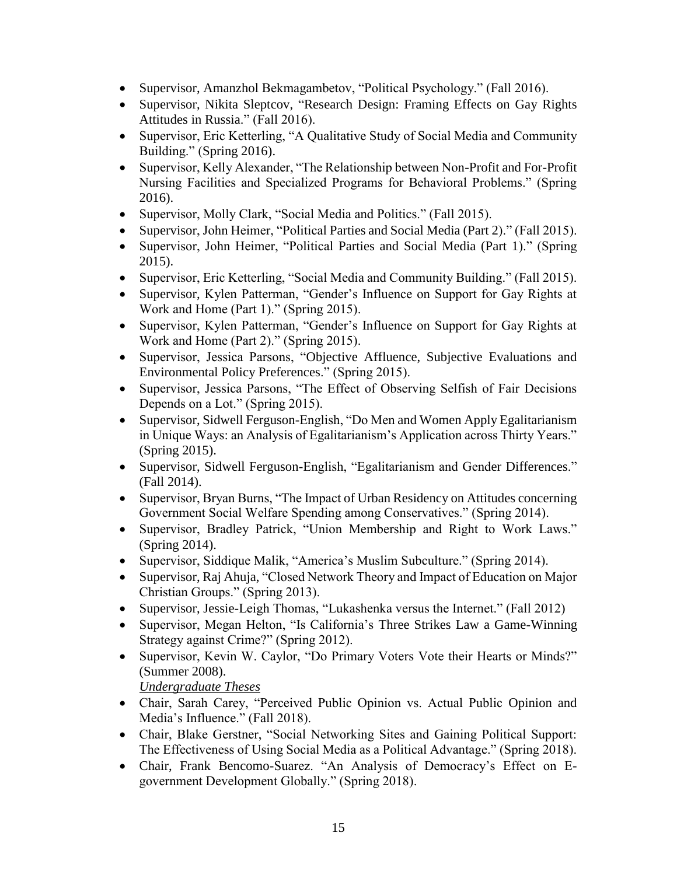- Supervisor, Amanzhol Bekmagambetov, "Political Psychology." (Fall 2016).
- Supervisor, Nikita Sleptcov, "Research Design: Framing Effects on Gay Rights Attitudes in Russia." (Fall 2016).
- Supervisor, Eric Ketterling, "A Qualitative Study of Social Media and Community Building." (Spring 2016).
- Supervisor, Kelly Alexander, "The Relationship between Non-Profit and For-Profit Nursing Facilities and Specialized Programs for Behavioral Problems." (Spring 2016).
- Supervisor, Molly Clark, "Social Media and Politics." (Fall 2015).
- Supervisor, John Heimer, "Political Parties and Social Media (Part 2)." (Fall 2015).
- Supervisor, John Heimer, "Political Parties and Social Media (Part 1)." (Spring 2015).
- Supervisor, Eric Ketterling, "Social Media and Community Building." (Fall 2015).
- Supervisor, Kylen Patterman, "Gender's Influence on Support for Gay Rights at Work and Home (Part 1)." (Spring 2015).
- Supervisor, Kylen Patterman, "Gender's Influence on Support for Gay Rights at Work and Home (Part 2)." (Spring 2015).
- Supervisor, Jessica Parsons, "Objective Affluence, Subjective Evaluations and Environmental Policy Preferences." (Spring 2015).
- Supervisor, Jessica Parsons, "The Effect of Observing Selfish of Fair Decisions Depends on a Lot." (Spring 2015).
- Supervisor, Sidwell Ferguson-English, "Do Men and Women Apply Egalitarianism in Unique Ways: an Analysis of Egalitarianism's Application across Thirty Years." (Spring 2015).
- Supervisor, Sidwell Ferguson-English, "Egalitarianism and Gender Differences." (Fall 2014).
- Supervisor, Bryan Burns, "The Impact of Urban Residency on Attitudes concerning Government Social Welfare Spending among Conservatives." (Spring 2014).
- Supervisor, Bradley Patrick, "Union Membership and Right to Work Laws." (Spring 2014).
- Supervisor, Siddique Malik, "America's Muslim Subculture." (Spring 2014).
- Supervisor, Raj Ahuja, "Closed Network Theory and Impact of Education on Major Christian Groups." (Spring 2013).
- Supervisor, Jessie-Leigh Thomas, "Lukashenka versus the Internet." (Fall 2012)
- Supervisor, Megan Helton, "Is California's Three Strikes Law a Game-Winning Strategy against Crime?" (Spring 2012).
- Supervisor, Kevin W. Caylor, "Do Primary Voters Vote their Hearts or Minds?" (Summer 2008).

*Undergraduate Theses*

- Chair, Sarah Carey, "Perceived Public Opinion vs. Actual Public Opinion and Media's Influence." (Fall 2018).
- Chair, Blake Gerstner, "Social Networking Sites and Gaining Political Support: The Effectiveness of Using Social Media as a Political Advantage." (Spring 2018).
- Chair, Frank Bencomo-Suarez. "An Analysis of Democracy's Effect on Egovernment Development Globally." (Spring 2018).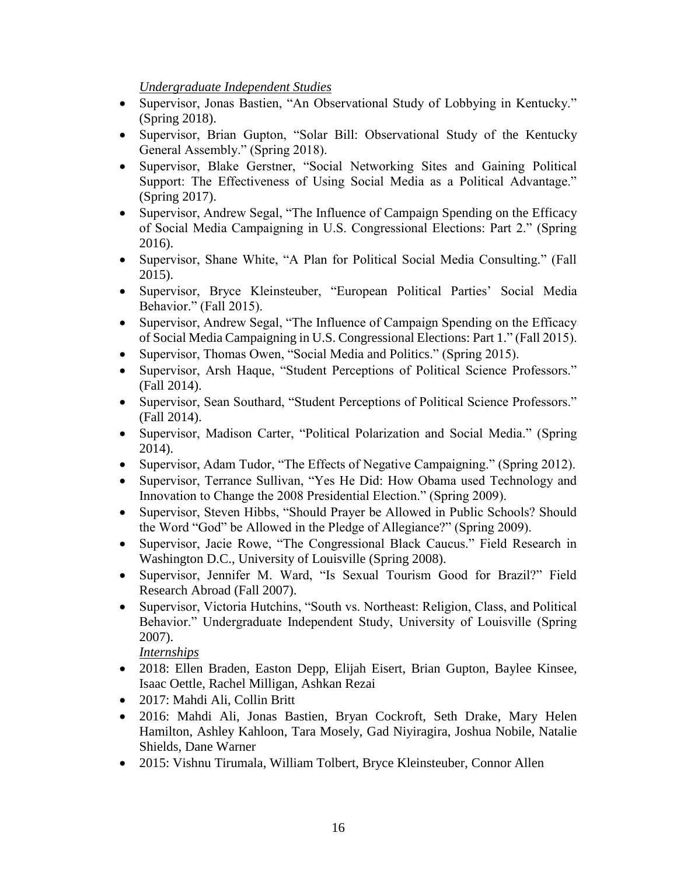*Undergraduate Independent Studies*

- Supervisor, Jonas Bastien, "An Observational Study of Lobbying in Kentucky." (Spring 2018).
- Supervisor, Brian Gupton, "Solar Bill: Observational Study of the Kentucky General Assembly." (Spring 2018).
- Supervisor, Blake Gerstner, "Social Networking Sites and Gaining Political Support: The Effectiveness of Using Social Media as a Political Advantage." (Spring 2017).
- Supervisor, Andrew Segal, "The Influence of Campaign Spending on the Efficacy of Social Media Campaigning in U.S. Congressional Elections: Part 2." (Spring 2016).
- Supervisor, Shane White, "A Plan for Political Social Media Consulting." (Fall 2015).
- Supervisor, Bryce Kleinsteuber, "European Political Parties' Social Media Behavior." (Fall 2015).
- Supervisor, Andrew Segal, "The Influence of Campaign Spending on the Efficacy of Social Media Campaigning in U.S. Congressional Elections: Part 1." (Fall 2015).
- Supervisor, Thomas Owen, "Social Media and Politics." (Spring 2015).
- Supervisor, Arsh Haque, "Student Perceptions of Political Science Professors." (Fall 2014).
- Supervisor, Sean Southard, "Student Perceptions of Political Science Professors." (Fall 2014).
- Supervisor, Madison Carter, "Political Polarization and Social Media." (Spring 2014).
- Supervisor, Adam Tudor, "The Effects of Negative Campaigning." (Spring 2012).
- Supervisor, Terrance Sullivan, "Yes He Did: How Obama used Technology and Innovation to Change the 2008 Presidential Election." (Spring 2009).
- Supervisor, Steven Hibbs, "Should Prayer be Allowed in Public Schools? Should the Word "God" be Allowed in the Pledge of Allegiance?" (Spring 2009).
- Supervisor, Jacie Rowe, "The Congressional Black Caucus." Field Research in Washington D.C., University of Louisville (Spring 2008).
- Supervisor, Jennifer M. Ward, "Is Sexual Tourism Good for Brazil?" Field Research Abroad (Fall 2007).
- Supervisor, Victoria Hutchins, "South vs. Northeast: Religion, Class, and Political Behavior." Undergraduate Independent Study, University of Louisville (Spring 2007).

*Internships*

- 2018: Ellen Braden, Easton Depp, Elijah Eisert, Brian Gupton, Baylee Kinsee, Isaac Oettle, Rachel Milligan, Ashkan Rezai
- 2017: Mahdi Ali, Collin Britt
- 2016: Mahdi Ali, Jonas Bastien, Bryan Cockroft, Seth Drake, Mary Helen Hamilton, Ashley Kahloon, Tara Mosely, Gad Niyiragira, Joshua Nobile, Natalie Shields, Dane Warner
- 2015: Vishnu Tirumala, William Tolbert, Bryce Kleinsteuber, Connor Allen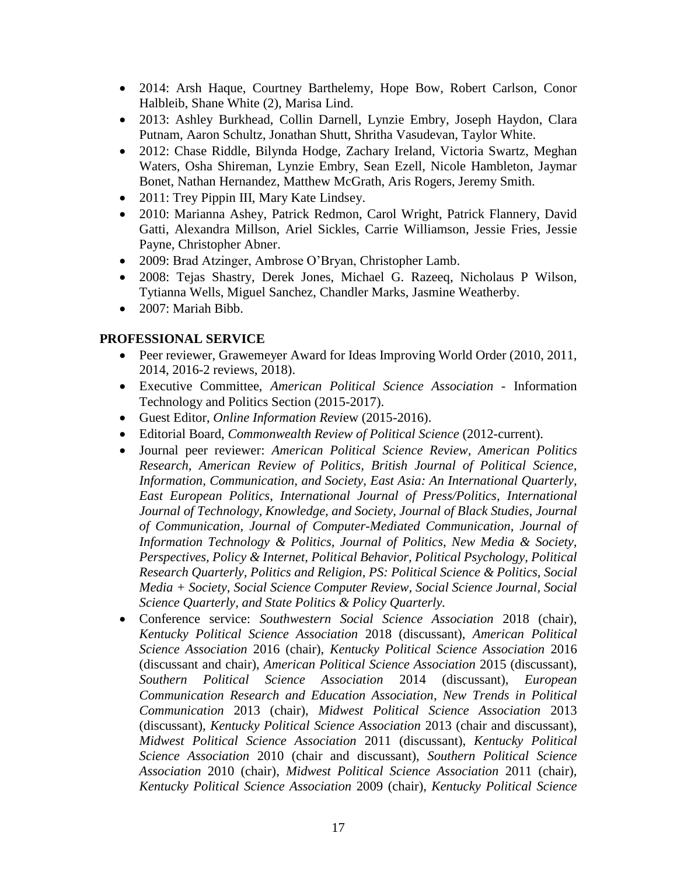- 2014: Arsh Haque, Courtney Barthelemy, Hope Bow, Robert Carlson, Conor Halbleib, Shane White (2), Marisa Lind.
- 2013: Ashley Burkhead, Collin Darnell, Lynzie Embry, Joseph Haydon, Clara Putnam, Aaron Schultz, Jonathan Shutt, Shritha Vasudevan, Taylor White.
- 2012: Chase Riddle, Bilynda Hodge, Zachary Ireland, Victoria Swartz, Meghan Waters, Osha Shireman, Lynzie Embry, Sean Ezell, Nicole Hambleton, Jaymar Bonet, Nathan Hernandez, Matthew McGrath, Aris Rogers, Jeremy Smith.
- 2011: Trey Pippin III, Mary Kate Lindsey.
- 2010: Marianna Ashey, Patrick Redmon, Carol Wright, Patrick Flannery, David Gatti, Alexandra Millson, Ariel Sickles, Carrie Williamson, Jessie Fries, Jessie Payne, Christopher Abner.
- 2009: Brad Atzinger, Ambrose O'Bryan, Christopher Lamb.
- 2008: Tejas Shastry, Derek Jones, Michael G. Razeeq, Nicholaus P Wilson, Tytianna Wells, Miguel Sanchez, Chandler Marks, Jasmine Weatherby.
- 2007: Mariah Bibb.

#### **PROFESSIONAL SERVICE**

- Peer reviewer, Grawemeyer Award for Ideas Improving World Order (2010, 2011, 2014, 2016-2 reviews, 2018).
- Executive Committee, *American Political Science Association* Information Technology and Politics Section (2015-2017).
- Guest Editor, *Online Information Revi*ew (2015-2016).
- Editorial Board, *Commonwealth Review of Political Science* (2012-current).
- Journal peer reviewer: *American Political Science Review, American Politics Research, American Review of Politics, British Journal of Political Science, Information, Communication, and Society, East Asia: An International Quarterly, East European Politics, International Journal of Press/Politics, International Journal of Technology, Knowledge, and Society, Journal of Black Studies, Journal of Communication, Journal of Computer-Mediated Communication, Journal of Information Technology & Politics, Journal of Politics, New Media & Society, Perspectives, Policy & Internet, Political Behavior, Political Psychology, Political Research Quarterly, Politics and Religion, PS: Political Science & Politics, Social Media + Society, Social Science Computer Review, Social Science Journal, Social Science Quarterly, and State Politics & Policy Quarterly.*
- Conference service: *Southwestern Social Science Association* 2018 (chair), *Kentucky Political Science Association* 2018 (discussant), *American Political Science Association* 2016 (chair), *Kentucky Political Science Association* 2016 (discussant and chair), *American Political Science Association* 2015 (discussant), *Southern Political Science Association* 2014 (discussant), *European Communication Research and Education Association*, *New Trends in Political Communication* 2013 (chair), *Midwest Political Science Association* 2013 (discussant), *Kentucky Political Science Association* 2013 (chair and discussant), *Midwest Political Science Association* 2011 (discussant), *Kentucky Political Science Association* 2010 (chair and discussant), *Southern Political Science Association* 2010 (chair), *Midwest Political Science Association* 2011 (chair), *Kentucky Political Science Association* 2009 (chair), *Kentucky Political Science*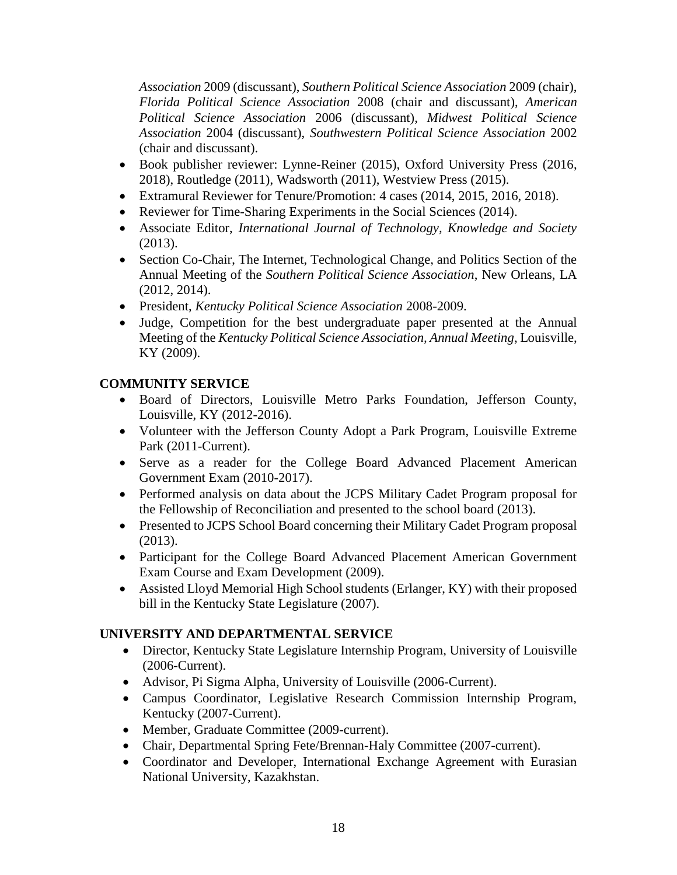*Association* 2009 (discussant), *Southern Political Science Association* 2009 (chair), *Florida Political Science Association* 2008 (chair and discussant), *American Political Science Association* 2006 (discussant), *Midwest Political Science Association* 2004 (discussant), *Southwestern Political Science Association* 2002 (chair and discussant).

- Book publisher reviewer: Lynne-Reiner (2015), Oxford University Press (2016, 2018), Routledge (2011), Wadsworth (2011), Westview Press (2015).
- Extramural Reviewer for Tenure/Promotion: 4 cases (2014, 2015, 2016, 2018).
- Reviewer for Time-Sharing Experiments in the Social Sciences (2014).
- Associate Editor, *International Journal of Technology, Knowledge and Society* (2013).
- Section Co-Chair, The Internet, Technological Change, and Politics Section of the Annual Meeting of the *Southern Political Science Association*, New Orleans, LA (2012, 2014).
- President, *Kentucky Political Science Association* 2008-2009.
- Judge, Competition for the best undergraduate paper presented at the Annual Meeting of the *Kentucky Political Science Association, Annual Meeting*, Louisville, KY (2009).

#### **COMMUNITY SERVICE**

- Board of Directors, Louisville Metro Parks Foundation, Jefferson County, Louisville, KY (2012-2016).
- Volunteer with the Jefferson County Adopt a Park Program, Louisville Extreme Park (2011-Current).
- Serve as a reader for the College Board Advanced Placement American Government Exam (2010-2017).
- Performed analysis on data about the JCPS Military Cadet Program proposal for the Fellowship of Reconciliation and presented to the school board (2013).
- Presented to JCPS School Board concerning their Military Cadet Program proposal (2013).
- Participant for the College Board Advanced Placement American Government Exam Course and Exam Development (2009).
- Assisted Lloyd Memorial High School students (Erlanger, KY) with their proposed bill in the Kentucky State Legislature (2007).

## **UNIVERSITY AND DEPARTMENTAL SERVICE**

- Director, Kentucky State Legislature Internship Program, University of Louisville (2006-Current).
- Advisor, Pi Sigma Alpha, University of Louisville (2006-Current).
- Campus Coordinator, Legislative Research Commission Internship Program, Kentucky (2007-Current).
- Member, Graduate Committee (2009-current).
- Chair, Departmental Spring Fete/Brennan-Haly Committee (2007-current).
- Coordinator and Developer, International Exchange Agreement with Eurasian National University, Kazakhstan.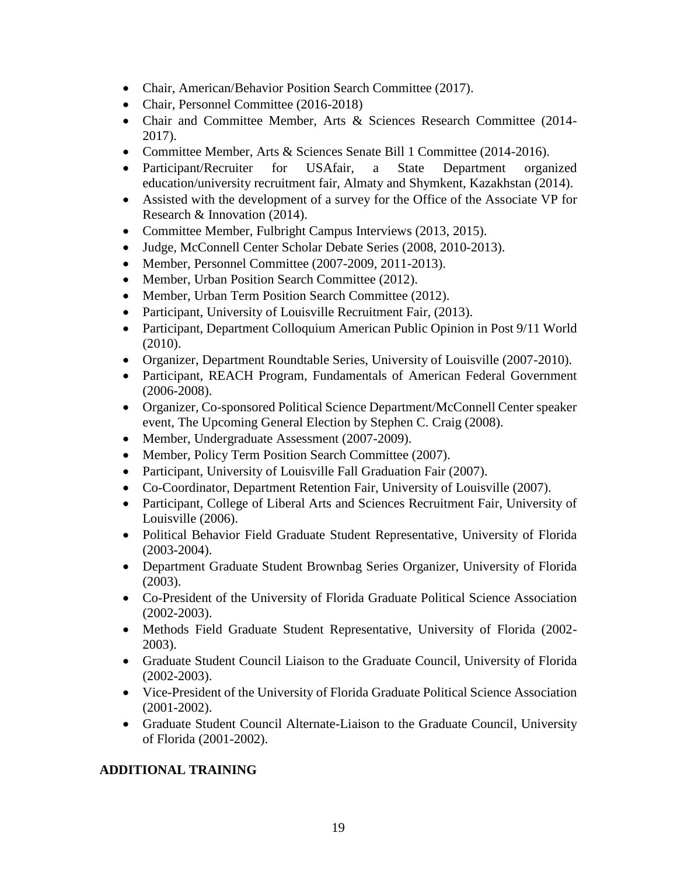- Chair, American/Behavior Position Search Committee (2017).
- Chair, Personnel Committee (2016-2018)
- Chair and Committee Member, Arts & Sciences Research Committee (2014- 2017).
- Committee Member, Arts & Sciences Senate Bill 1 Committee (2014-2016).
- Participant/Recruiter for USAfair, a State Department organized education/university recruitment fair, Almaty and Shymkent, Kazakhstan (2014).
- Assisted with the development of a survey for the Office of the Associate VP for Research & Innovation (2014).
- Committee Member, Fulbright Campus Interviews (2013, 2015).
- Judge, McConnell Center Scholar Debate Series (2008, 2010-2013).
- Member, Personnel Committee (2007-2009, 2011-2013).
- Member, Urban Position Search Committee (2012).
- Member, Urban Term Position Search Committee (2012).
- Participant, University of Louisville Recruitment Fair, (2013).
- Participant, Department Colloquium American Public Opinion in Post 9/11 World (2010).
- Organizer, Department Roundtable Series, University of Louisville (2007-2010).
- Participant, REACH Program, Fundamentals of American Federal Government (2006-2008).
- Organizer, Co-sponsored Political Science Department/McConnell Center speaker event, The Upcoming General Election by Stephen C. Craig (2008).
- Member, Undergraduate Assessment (2007-2009).
- Member, Policy Term Position Search Committee (2007).
- Participant, University of Louisville Fall Graduation Fair (2007).
- Co-Coordinator, Department Retention Fair, University of Louisville (2007).
- Participant, College of Liberal Arts and Sciences Recruitment Fair, University of Louisville (2006).
- Political Behavior Field Graduate Student Representative, University of Florida (2003-2004).
- Department Graduate Student Brownbag Series Organizer, University of Florida (2003).
- Co-President of the University of Florida Graduate Political Science Association (2002-2003).
- Methods Field Graduate Student Representative, University of Florida (2002- 2003).
- Graduate Student Council Liaison to the Graduate Council, University of Florida (2002-2003).
- Vice-President of the University of Florida Graduate Political Science Association (2001-2002).
- Graduate Student Council Alternate-Liaison to the Graduate Council, University of Florida (2001-2002).

## **ADDITIONAL TRAINING**